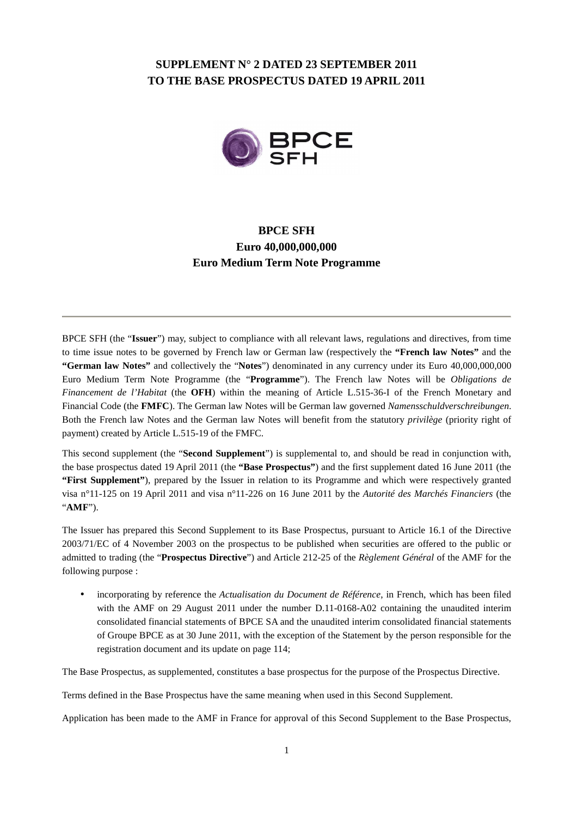## **SUPPLEMENT N° 2 DATED 23 SEPTEMBER 2011 TO THE BASE PROSPECTUS DATED 19 APRIL 2011**



# **BPCE SFH Euro 40,000,000,000 Euro Medium Term Note Programme**

BPCE SFH (the "**Issuer**") may, subject to compliance with all relevant laws, regulations and directives, from time to time issue notes to be governed by French law or German law (respectively the **"French law Notes"** and the **"German law Notes"** and collectively the "**Notes**") denominated in any currency under its Euro 40,000,000,000 Euro Medium Term Note Programme (the "**Programme**"). The French law Notes will be *Obligations de Financement de l'Habitat* (the **OFH**) within the meaning of Article L.515-36-I of the French Monetary and Financial Code (the **FMFC**). The German law Notes will be German law governed *Namensschuldverschreibungen*. Both the French law Notes and the German law Notes will benefit from the statutory *privilège* (priority right of payment) created by Article L.515-19 of the FMFC.

This second supplement (the "**Second Supplement**") is supplemental to, and should be read in conjunction with, the base prospectus dated 19 April 2011 (the **"Base Prospectus"**) and the first supplement dated 16 June 2011 (the **"First Supplement"**), prepared by the Issuer in relation to its Programme and which were respectively granted visa n°11-125 on 19 April 2011 and visa n°11-226 on 16 June 2011 by the *Autorité des Marchés Financiers* (the "**AMF**").

The Issuer has prepared this Second Supplement to its Base Prospectus, pursuant to Article 16.1 of the Directive 2003/71/EC of 4 November 2003 on the prospectus to be published when securities are offered to the public or admitted to trading (the "**Prospectus Directive**") and Article 212-25 of the *Règlement Général* of the AMF for the following purpose :

• incorporating by reference the *Actualisation du Document de Référence*, in French, which has been filed with the AMF on 29 August 2011 under the number D.11-0168-A02 containing the unaudited interim consolidated financial statements of BPCE SA and the unaudited interim consolidated financial statements of Groupe BPCE as at 30 June 2011, with the exception of the Statement by the person responsible for the registration document and its update on page 114;

The Base Prospectus, as supplemented, constitutes a base prospectus for the purpose of the Prospectus Directive.

Terms defined in the Base Prospectus have the same meaning when used in this Second Supplement.

Application has been made to the AMF in France for approval of this Second Supplement to the Base Prospectus,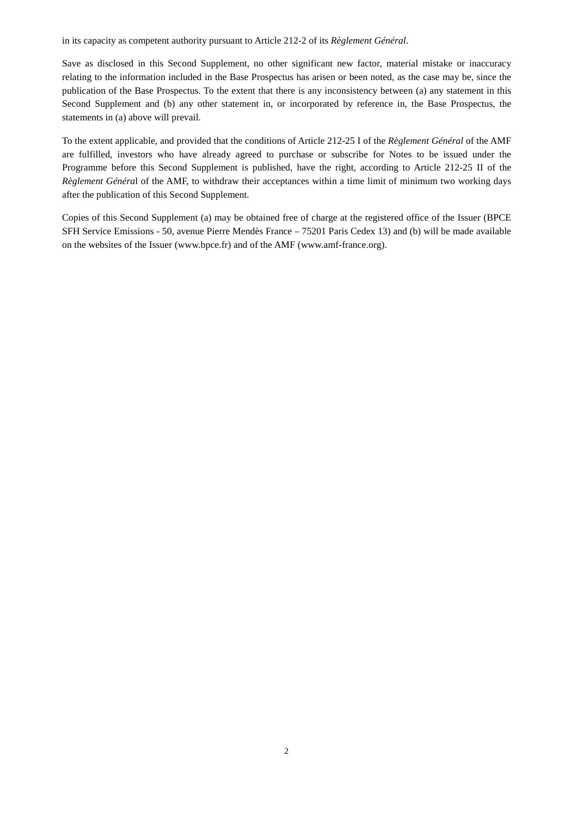in its capacity as competent authority pursuant to Article 212-2 of its *Règlement Général*.

Save as disclosed in this Second Supplement, no other significant new factor, material mistake or inaccuracy relating to the information included in the Base Prospectus has arisen or been noted, as the case may be, since the publication of the Base Prospectus. To the extent that there is any inconsistency between (a) any statement in this Second Supplement and (b) any other statement in, or incorporated by reference in, the Base Prospectus, the statements in (a) above will prevail.

To the extent applicable, and provided that the conditions of Article 212-25 I of the *Règlement Général* of the AMF are fulfilled, investors who have already agreed to purchase or subscribe for Notes to be issued under the Programme before this Second Supplement is published, have the right, according to Article 212-25 II of the *Règlement Généra*l of the AMF, to withdraw their acceptances within a time limit of minimum two working days after the publication of this Second Supplement.

Copies of this Second Supplement (a) may be obtained free of charge at the registered office of the Issuer (BPCE SFH Service Emissions - 50, avenue Pierre Mendès France – 75201 Paris Cedex 13) and (b) will be made available on the websites of the Issuer (www.bpce.fr) and of the AMF (www.amf-france.org).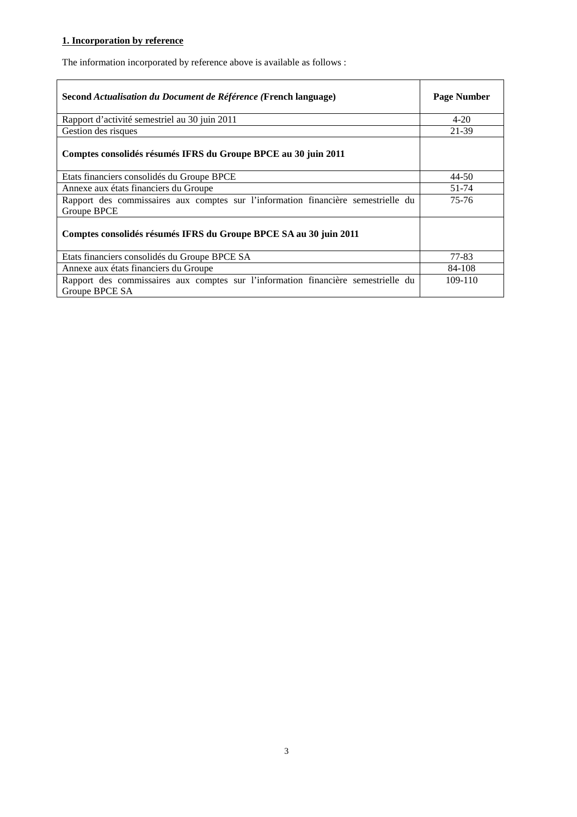# **1. Incorporation by reference**

The information incorporated by reference above is available as follows :

| Second Actualisation du Document de Référence (French language)                                     | <b>Page Number</b> |
|-----------------------------------------------------------------------------------------------------|--------------------|
| Rapport d'activité semestriel au 30 juin 2011                                                       | $4 - 20$           |
| Gestion des risques                                                                                 | 21-39              |
| Comptes consolidés résumés IFRS du Groupe BPCE au 30 juin 2011                                      |                    |
| Etats financiers consolidés du Groupe BPCE                                                          | $44 - 50$          |
| Annexe aux états financiers du Groupe                                                               | 51-74              |
| Rapport des commissaires aux comptes sur l'information financière semestrielle du<br>Groupe BPCE    | 75-76              |
| Comptes consolidés résumés IFRS du Groupe BPCE SA au 30 juin 2011                                   |                    |
| Etats financiers consolidés du Groupe BPCE SA                                                       | 77-83              |
| Annexe aux états financiers du Groupe                                                               | 84-108             |
| Rapport des commissaires aux comptes sur l'information financière semestrielle du<br>Groupe BPCE SA | 109-110            |